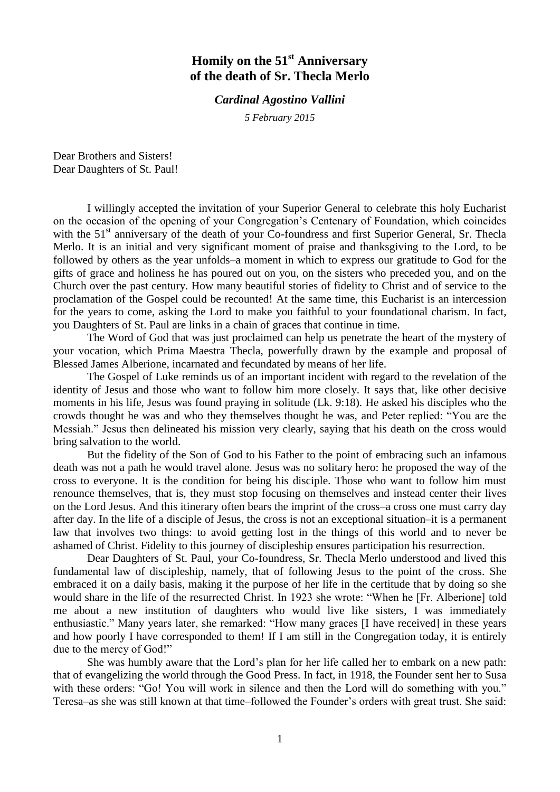## **Homily on the 51st Anniversary of the death of Sr. Thecla Merlo**

## *Cardinal Agostino Vallini*

*5 February 2015*

Dear Brothers and Sisters! Dear Daughters of St. Paul!

I willingly accepted the invitation of your Superior General to celebrate this holy Eucharist on the occasion of the opening of your Congregation's Centenary of Foundation, which coincides with the 51<sup>st</sup> anniversary of the death of your Co-foundress and first Superior General, Sr. Thecla Merlo. It is an initial and very significant moment of praise and thanksgiving to the Lord, to be followed by others as the year unfolds–a moment in which to express our gratitude to God for the gifts of grace and holiness he has poured out on you, on the sisters who preceded you, and on the Church over the past century. How many beautiful stories of fidelity to Christ and of service to the proclamation of the Gospel could be recounted! At the same time, this Eucharist is an intercession for the years to come, asking the Lord to make you faithful to your foundational charism. In fact, you Daughters of St. Paul are links in a chain of graces that continue in time.

The Word of God that was just proclaimed can help us penetrate the heart of the mystery of your vocation, which Prima Maestra Thecla, powerfully drawn by the example and proposal of Blessed James Alberione, incarnated and fecundated by means of her life.

The Gospel of Luke reminds us of an important incident with regard to the revelation of the identity of Jesus and those who want to follow him more closely. It says that, like other decisive moments in his life, Jesus was found praying in solitude (Lk. 9:18). He asked his disciples who the crowds thought he was and who they themselves thought he was, and Peter replied: "You are the Messiah." Jesus then delineated his mission very clearly, saying that his death on the cross would bring salvation to the world.

But the fidelity of the Son of God to his Father to the point of embracing such an infamous death was not a path he would travel alone. Jesus was no solitary hero: he proposed the way of the cross to everyone. It is the condition for being his disciple. Those who want to follow him must renounce themselves, that is, they must stop focusing on themselves and instead center their lives on the Lord Jesus. And this itinerary often bears the imprint of the cross–a cross one must carry day after day. In the life of a disciple of Jesus, the cross is not an exceptional situation–it is a permanent law that involves two things: to avoid getting lost in the things of this world and to never be ashamed of Christ. Fidelity to this journey of discipleship ensures participation his resurrection.

Dear Daughters of St. Paul, your Co-foundress, Sr. Thecla Merlo understood and lived this fundamental law of discipleship, namely, that of following Jesus to the point of the cross. She embraced it on a daily basis, making it the purpose of her life in the certitude that by doing so she would share in the life of the resurrected Christ. In 1923 she wrote: "When he [Fr. Alberione] told me about a new institution of daughters who would live like sisters, I was immediately enthusiastic." Many years later, she remarked: "How many graces [I have received] in these years and how poorly I have corresponded to them! If I am still in the Congregation today, it is entirely due to the mercy of God!"

She was humbly aware that the Lord's plan for her life called her to embark on a new path: that of evangelizing the world through the Good Press. In fact, in 1918, the Founder sent her to Susa with these orders: "Go! You will work in silence and then the Lord will do something with you." Teresa–as she was still known at that time–followed the Founder's orders with great trust. She said: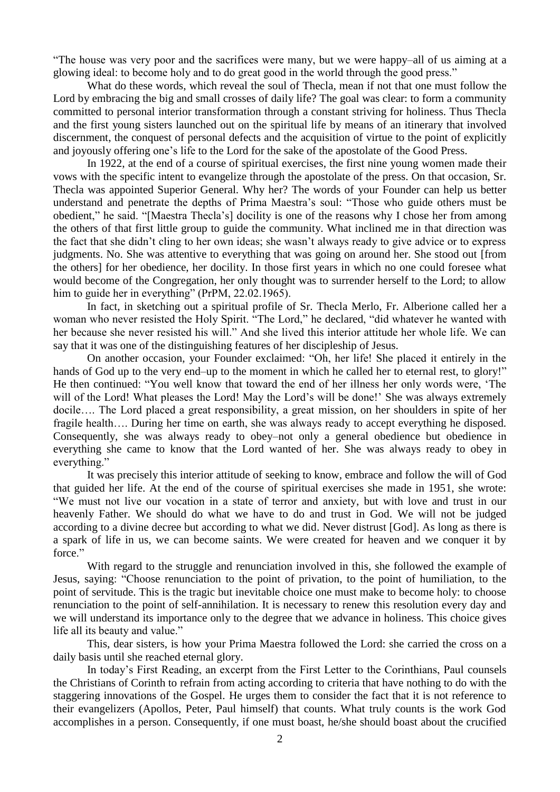"The house was very poor and the sacrifices were many, but we were happy–all of us aiming at a glowing ideal: to become holy and to do great good in the world through the good press."

What do these words, which reveal the soul of Thecla, mean if not that one must follow the Lord by embracing the big and small crosses of daily life? The goal was clear: to form a community committed to personal interior transformation through a constant striving for holiness. Thus Thecla and the first young sisters launched out on the spiritual life by means of an itinerary that involved discernment, the conquest of personal defects and the acquisition of virtue to the point of explicitly and joyously offering one's life to the Lord for the sake of the apostolate of the Good Press.

In 1922, at the end of a course of spiritual exercises, the first nine young women made their vows with the specific intent to evangelize through the apostolate of the press. On that occasion, Sr. Thecla was appointed Superior General. Why her? The words of your Founder can help us better understand and penetrate the depths of Prima Maestra's soul: "Those who guide others must be obedient," he said. "[Maestra Thecla's] docility is one of the reasons why I chose her from among the others of that first little group to guide the community. What inclined me in that direction was the fact that she didn't cling to her own ideas; she wasn't always ready to give advice or to express judgments. No. She was attentive to everything that was going on around her. She stood out [from the others] for her obedience, her docility. In those first years in which no one could foresee what would become of the Congregation, her only thought was to surrender herself to the Lord; to allow him to guide her in everything" (PrPM, 22.02.1965).

In fact, in sketching out a spiritual profile of Sr. Thecla Merlo, Fr. Alberione called her a woman who never resisted the Holy Spirit. "The Lord," he declared, "did whatever he wanted with her because she never resisted his will." And she lived this interior attitude her whole life. We can say that it was one of the distinguishing features of her discipleship of Jesus.

On another occasion, your Founder exclaimed: "Oh, her life! She placed it entirely in the hands of God up to the very end–up to the moment in which he called her to eternal rest, to glory!" He then continued: "You well know that toward the end of her illness her only words were, 'The will of the Lord! What pleases the Lord! May the Lord's will be done!' She was always extremely docile…. The Lord placed a great responsibility, a great mission, on her shoulders in spite of her fragile health…. During her time on earth, she was always ready to accept everything he disposed. Consequently, she was always ready to obey–not only a general obedience but obedience in everything she came to know that the Lord wanted of her. She was always ready to obey in everything."

It was precisely this interior attitude of seeking to know, embrace and follow the will of God that guided her life. At the end of the course of spiritual exercises she made in 1951, she wrote: "We must not live our vocation in a state of terror and anxiety, but with love and trust in our heavenly Father. We should do what we have to do and trust in God. We will not be judged according to a divine decree but according to what we did. Never distrust [God]. As long as there is a spark of life in us, we can become saints. We were created for heaven and we conquer it by force."

With regard to the struggle and renunciation involved in this, she followed the example of Jesus, saying: "Choose renunciation to the point of privation, to the point of humiliation, to the point of servitude. This is the tragic but inevitable choice one must make to become holy: to choose renunciation to the point of self-annihilation. It is necessary to renew this resolution every day and we will understand its importance only to the degree that we advance in holiness. This choice gives life all its beauty and value."

This, dear sisters, is how your Prima Maestra followed the Lord: she carried the cross on a daily basis until she reached eternal glory.

In today's First Reading, an excerpt from the First Letter to the Corinthians, Paul counsels the Christians of Corinth to refrain from acting according to criteria that have nothing to do with the staggering innovations of the Gospel. He urges them to consider the fact that it is not reference to their evangelizers (Apollos, Peter, Paul himself) that counts. What truly counts is the work God accomplishes in a person. Consequently, if one must boast, he/she should boast about the crucified